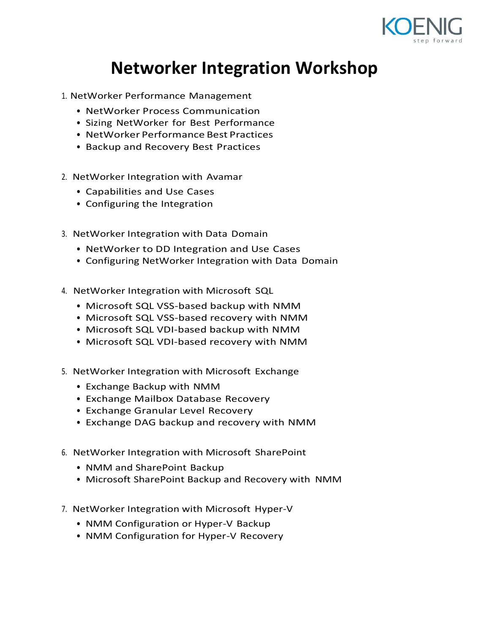

## **Networker Integration Workshop**

- 1. NetWorker Performance Management
	- NetWorker Process Communication
	- Sizing NetWorker for Best Performance
	- NetWorker Performance Best Practices
	- Backup and Recovery Best Practices
- 2. NetWorker Integration with Avamar
	- Capabilities and Use Cases
	- Configuring the Integration
- 3. NetWorker Integration with Data Domain
	- NetWorker to DD Integration and Use Cases
	- Configuring NetWorker Integration with Data Domain
- 4. NetWorker Integration with Microsoft SQL
	- Microsoft SQL VSS-based backup with NMM
	- Microsoft SQL VSS-based recovery with NMM
	- Microsoft SQL VDI-based backup with NMM
	- Microsoft SQL VDI-based recovery with NMM
- 5. NetWorker Integration with Microsoft Exchange
	- Exchange Backup with NMM
	- Exchange Mailbox Database Recovery
	- Exchange Granular Level Recovery
	- Exchange DAG backup and recovery with NMM
- 6. NetWorker Integration with Microsoft SharePoint
	- NMM and SharePoint Backup
	- Microsoft SharePoint Backup and Recovery with NMM
- 7. NetWorker Integration with Microsoft Hyper-V
	- NMM Configuration or Hyper-V Backup
	- NMM Configuration for Hyper-V Recovery